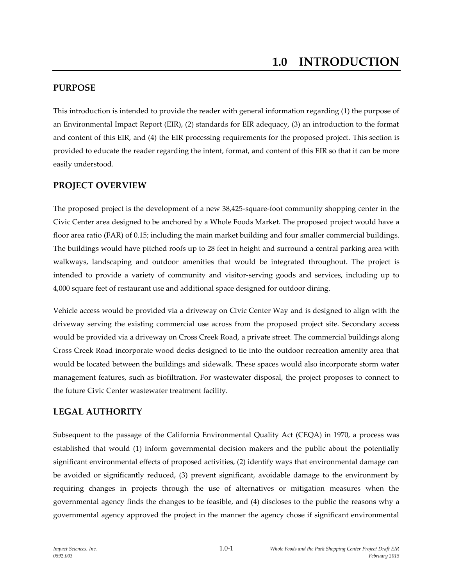## **PURPOSE**

This introduction is intended to provide the reader with general information regarding (1) the purpose of an Environmental Impact Report (EIR), (2) standards for EIR adequacy, (3) an introduction to the format and content of this EIR, and (4) the EIR processing requirements for the proposed project. This section is provided to educate the reader regarding the intent, format, and content of this EIR so that it can be more easily understood.

## **PROJECT OVERVIEW**

The proposed project is the development of a new 38,425-square-foot community shopping center in the Civic Center area designed to be anchored by a Whole Foods Market. The proposed project would have a floor area ratio (FAR) of 0.15; including the main market building and four smaller commercial buildings. The buildings would have pitched roofs up to 28 feet in height and surround a central parking area with walkways, landscaping and outdoor amenities that would be integrated throughout. The project is intended to provide a variety of community and visitor-serving goods and services, including up to 4,000 square feet of restaurant use and additional space designed for outdoor dining.

Vehicle access would be provided via a driveway on Civic Center Way and is designed to align with the driveway serving the existing commercial use across from the proposed project site. Secondary access would be provided via a driveway on Cross Creek Road, a private street. The commercial buildings along Cross Creek Road incorporate wood decks designed to tie into the outdoor recreation amenity area that would be located between the buildings and sidewalk. These spaces would also incorporate storm water management features, such as biofiltration. For wastewater disposal, the project proposes to connect to the future Civic Center wastewater treatment facility.

### **LEGAL AUTHORITY**

Subsequent to the passage of the California Environmental Quality Act (CEQA) in 1970, a process was established that would (1) inform governmental decision makers and the public about the potentially significant environmental effects of proposed activities, (2) identify ways that environmental damage can be avoided or significantly reduced, (3) prevent significant, avoidable damage to the environment by requiring changes in projects through the use of alternatives or mitigation measures when the governmental agency finds the changes to be feasible, and (4) discloses to the public the reasons why a governmental agency approved the project in the manner the agency chose if significant environmental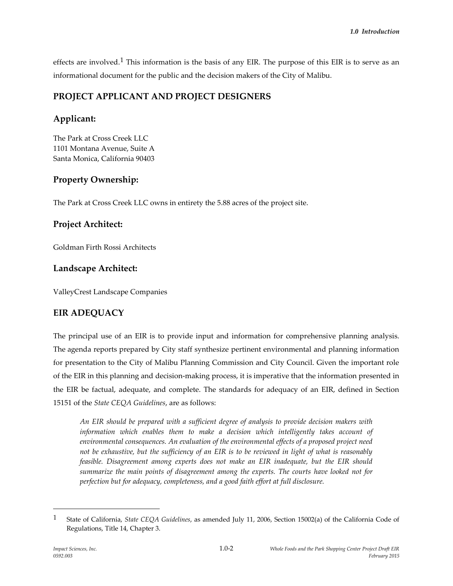effects are involved.<sup>1</sup> This information is the basis of any EIR. The purpose of this EIR is to serve as an informational document for the public and the decision makers of the City of Malibu.

## **PROJECT APPLICANT AND PROJECT DESIGNERS**

# **Applicant:**

The Park at Cross Creek LLC 1101 Montana Avenue, Suite A Santa Monica, California 90403

# **Property Ownership:**

The Park at Cross Creek LLC owns in entirety the 5.88 acres of the project site.

## **Project Architect:**

Goldman Firth Rossi Architects

# **Landscape Architect:**

ValleyCrest Landscape Companies

# **EIR ADEQUACY**

The principal use of an EIR is to provide input and information for comprehensive planning analysis. The agenda reports prepared by City staff synthesize pertinent environmental and planning information for presentation to the City of Malibu Planning Commission and City Council. Given the important role of the EIR in this planning and decision-making process, it is imperative that the information presented in the EIR be factual, adequate, and complete. The standards for adequacy of an EIR, defined in Section 15151 of the *State CEQA Guidelines*, are as follows:

*An EIR should be prepared with a sufficient degree of analysis to provide decision makers with information which enables them to make a decision which intelligently takes account of environmental consequences. An evaluation of the environmental effects of a proposed project need not be exhaustive, but the sufficiency of an EIR is to be reviewed in light of what is reasonably feasible. Disagreement among experts does not make an EIR inadequate, but the EIR should summarize the main points of disagreement among the experts. The courts have looked not for perfection but for adequacy, completeness, and a good faith effort at full disclosure.*

 $\overline{a}$ 

<sup>1</sup> State of California, *State CEQA Guidelines*, as amended July 11, 2006, Section 15002(a) of the California Code of Regulations, Title 14, Chapter 3.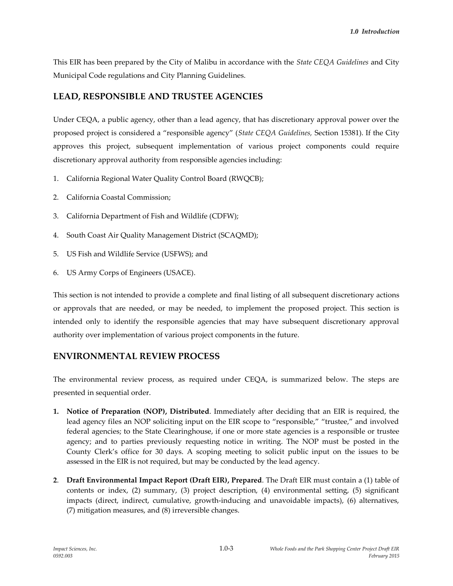This EIR has been prepared by the City of Malibu in accordance with the *State CEQA Guidelines* and City Municipal Code regulations and City Planning Guidelines.

## **LEAD, RESPONSIBLE AND TRUSTEE AGENCIES**

Under CEQA, a public agency, other than a lead agency, that has discretionary approval power over the proposed project is considered a "responsible agency" (*State CEQA Guidelines,* Section 15381). If the City approves this project, subsequent implementation of various project components could require discretionary approval authority from responsible agencies including:

- 1. California Regional Water Quality Control Board (RWQCB);
- 2. California Coastal Commission;
- 3. California Department of Fish and Wildlife (CDFW);
- 4. South Coast Air Quality Management District (SCAQMD);
- 5. US Fish and Wildlife Service (USFWS); and
- 6. US Army Corps of Engineers (USACE).

This section is not intended to provide a complete and final listing of all subsequent discretionary actions or approvals that are needed, or may be needed, to implement the proposed project. This section is intended only to identify the responsible agencies that may have subsequent discretionary approval authority over implementation of various project components in the future.

## **ENVIRONMENTAL REVIEW PROCESS**

The environmental review process, as required under CEQA, is summarized below. The steps are presented in sequential order.

- **1. Notice of Preparation (NOP), Distributed**. Immediately after deciding that an EIR is required, the lead agency files an NOP soliciting input on the EIR scope to "responsible," "trustee," and involved federal agencies; to the State Clearinghouse, if one or more state agencies is a responsible or trustee agency; and to parties previously requesting notice in writing. The NOP must be posted in the County Clerk's office for 30 days. A scoping meeting to solicit public input on the issues to be assessed in the EIR is not required, but may be conducted by the lead agency.
- **2**. **Draft Environmental Impact Report (Draft EIR), Prepared**. The Draft EIR must contain a (1) table of contents or index, (2) summary, (3) project description, (4) environmental setting, (5) significant impacts (direct, indirect, cumulative, growth-inducing and unavoidable impacts), (6) alternatives, (7) mitigation measures, and (8) irreversible changes.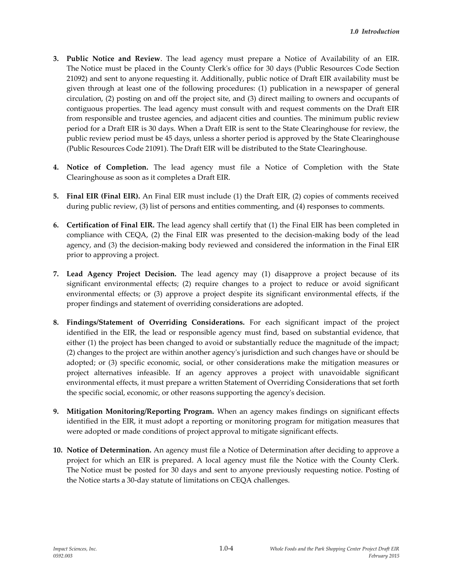- **3. Public Notice and Review**. The lead agency must prepare a Notice of Availability of an EIR. The Notice must be placed in the County Clerk's office for 30 days (Public Resources Code Section 21092) and sent to anyone requesting it. Additionally, public notice of Draft EIR availability must be given through at least one of the following procedures: (1) publication in a newspaper of general circulation, (2) posting on and off the project site, and (3) direct mailing to owners and occupants of contiguous properties. The lead agency must consult with and request comments on the Draft EIR from responsible and trustee agencies, and adjacent cities and counties. The minimum public review period for a Draft EIR is 30 days. When a Draft EIR is sent to the State Clearinghouse for review, the public review period must be 45 days, unless a shorter period is approved by the State Clearinghouse (Public Resources Code 21091). The Draft EIR will be distributed to the State Clearinghouse.
- **4. Notice of Completion.** The lead agency must file a Notice of Completion with the State Clearinghouse as soon as it completes a Draft EIR.
- **5. Final EIR (Final EIR).** An Final EIR must include (1) the Draft EIR, (2) copies of comments received during public review, (3) list of persons and entities commenting, and (4) responses to comments.
- **6. Certification of Final EIR.** The lead agency shall certify that (1) the Final EIR has been completed in compliance with CEQA, (2) the Final EIR was presented to the decision-making body of the lead agency, and (3) the decision-making body reviewed and considered the information in the Final EIR prior to approving a project.
- **7. Lead Agency Project Decision.** The lead agency may (1) disapprove a project because of its significant environmental effects; (2) require changes to a project to reduce or avoid significant environmental effects; or (3) approve a project despite its significant environmental effects, if the proper findings and statement of overriding considerations are adopted.
- **8. Findings/Statement of Overriding Considerations.** For each significant impact of the project identified in the EIR, the lead or responsible agency must find, based on substantial evidence, that either (1) the project has been changed to avoid or substantially reduce the magnitude of the impact; (2) changes to the project are within another agency's jurisdiction and such changes have or should be adopted; or (3) specific economic, social, or other considerations make the mitigation measures or project alternatives infeasible. If an agency approves a project with unavoidable significant environmental effects, it must prepare a written Statement of Overriding Considerations that set forth the specific social, economic, or other reasons supporting the agency's decision.
- **9. Mitigation Monitoring/Reporting Program.** When an agency makes findings on significant effects identified in the EIR, it must adopt a reporting or monitoring program for mitigation measures that were adopted or made conditions of project approval to mitigate significant effects.
- **10. Notice of Determination.** An agency must file a Notice of Determination after deciding to approve a project for which an EIR is prepared. A local agency must file the Notice with the County Clerk. The Notice must be posted for 30 days and sent to anyone previously requesting notice. Posting of the Notice starts a 30-day statute of limitations on CEQA challenges.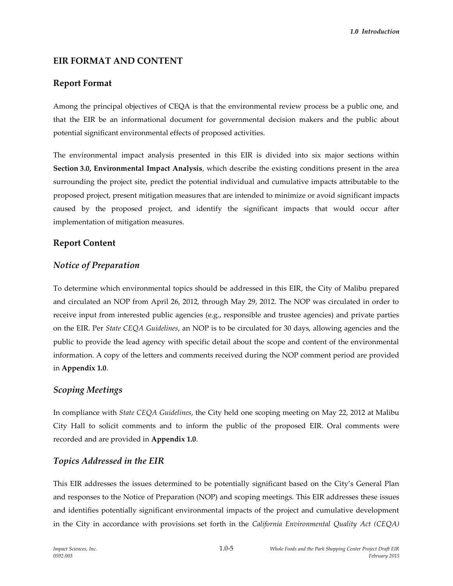## **EIR FORMAT AND CONTENT**

#### **Report Format**

Among the principal objectives of CEQA is that the environmental review process be a public one, and that the EIR be an informational document for governmental decision makers and the public about potential significant environmental effects of proposed activities.

The environmental impact analysis presented in this EIR is divided into six major sections within **Section 3.0, Environmental Impact Analysis**, which describe the existing conditions present in the area surrounding the project site, predict the potential individual and cumulative impacts attributable to the proposed project, present mitigation measures that are intended to minimize or avoid significant impacts caused by the proposed project, and identify the significant impacts that would occur after implementation of mitigation measures.

### **Report Content**

#### *Notice of Preparation*

To determine which environmental topics should be addressed in this EIR, the City of Malibu prepared and circulated an NOP from April 26, 2012, through May 29, 2012. The NOP was circulated in order to receive input from interested public agencies (e.g., responsible and trustee agencies) and private parties on the EIR. Per *State CEQA Guidelines*, an NOP is to be circulated for 30 days, allowing agencies and the public to provide the lead agency with specific detail about the scope and content of the environmental information. A copy of the letters and comments received during the NOP comment period are provided in **Appendix 1.0**.

#### *Scoping Meetings*

In compliance with *State CEQA Guidelines*, the City held one scoping meeting on May 22, 2012 at Malibu City Hall to solicit comments and to inform the public of the proposed EIR. Oral comments were recorded and are provided in **Appendix 1.0**.

### *Topics Addressed in the EIR*

This EIR addresses the issues determined to be potentially significant based on the City's General Plan and responses to the Notice of Preparation (NOP) and scoping meetings. This EIR addresses these issues and identifies potentially significant environmental impacts of the project and cumulative development in the City in accordance with provisions set forth in the *California Environmental Quality Act (CEQA)*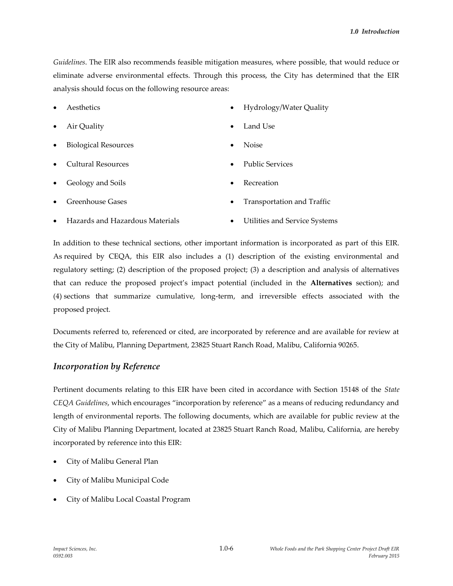*Guidelines*. The EIR also recommends feasible mitigation measures, where possible, that would reduce or eliminate adverse environmental effects. Through this process, the City has determined that the EIR analysis should focus on the following resource areas:

- Aesthetics Hydrology/Water Quality
- Air Quality
- Biological Resources
- Cultural Resources
- Geology and Soils
- 
- Land Use
- Noise
- Public Services
- Recreation
- Greenhouse Gases Transportation and Traffic
- Hazards and Hazardous Materials Utilities and Service Systems

In addition to these technical sections, other important information is incorporated as part of this EIR. As required by CEQA, this EIR also includes a (1) description of the existing environmental and regulatory setting; (2) description of the proposed project; (3) a description and analysis of alternatives that can reduce the proposed project's impact potential (included in the **Alternatives** section); and (4) sections that summarize cumulative, long-term, and irreversible effects associated with the proposed project.

Documents referred to, referenced or cited, are incorporated by reference and are available for review at the City of Malibu, Planning Department, 23825 Stuart Ranch Road, Malibu, California 90265.

### *Incorporation by Reference*

Pertinent documents relating to this EIR have been cited in accordance with Section 15148 of the *State CEQA Guidelines*, which encourages "incorporation by reference" as a means of reducing redundancy and length of environmental reports. The following documents, which are available for public review at the City of Malibu Planning Department, located at 23825 Stuart Ranch Road, Malibu, California, are hereby incorporated by reference into this EIR:

- City of Malibu General Plan
- City of Malibu Municipal Code
- City of Malibu Local Coastal Program